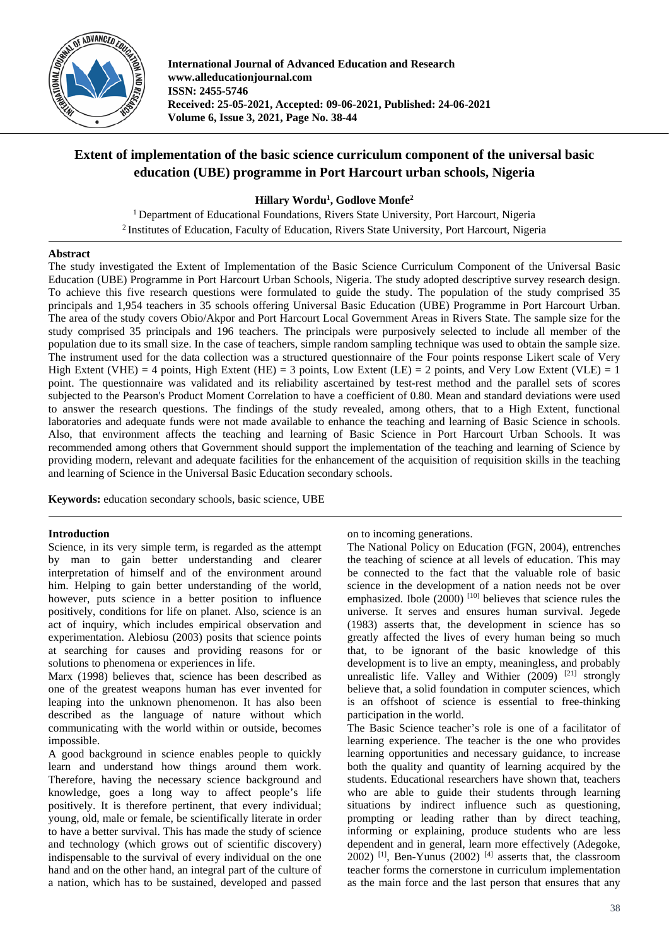

**International Journal of Advanced Education and Research www.alleducationjournal.com ISSN: 2455-5746 Received: 25-05-2021, Accepted: 09-06-2021, Published: 24-06-2021 Volume 6, Issue 3, 2021, Page No. 38-44**

# **Extent of implementation of the basic science curriculum component of the universal basic education (UBE) programme in Port Harcourt urban schools, Nigeria**

**Hillary Wordu1 , Godlove Monfe2**

<sup>1</sup> Department of Educational Foundations, Rivers State University, Port Harcourt, Nigeria 2 Institutes of Education, Faculty of Education, Rivers State University, Port Harcourt, Nigeria

# **Abstract**

The study investigated the Extent of Implementation of the Basic Science Curriculum Component of the Universal Basic Education (UBE) Programme in Port Harcourt Urban Schools, Nigeria. The study adopted descriptive survey research design. To achieve this five research questions were formulated to guide the study. The population of the study comprised 35 principals and 1,954 teachers in 35 schools offering Universal Basic Education (UBE) Programme in Port Harcourt Urban. The area of the study covers Obio/Akpor and Port Harcourt Local Government Areas in Rivers State. The sample size for the study comprised 35 principals and 196 teachers. The principals were purposively selected to include all member of the population due to its small size. In the case of teachers, simple random sampling technique was used to obtain the sample size. The instrument used for the data collection was a structured questionnaire of the Four points response Likert scale of Very High Extent (VHE) = 4 points, High Extent (HE) = 3 points, Low Extent (LE) = 2 points, and Very Low Extent (VLE) = 1 point. The questionnaire was validated and its reliability ascertained by test-rest method and the parallel sets of scores subjected to the Pearson's Product Moment Correlation to have a coefficient of 0.80. Mean and standard deviations were used to answer the research questions. The findings of the study revealed, among others, that to a High Extent, functional laboratories and adequate funds were not made available to enhance the teaching and learning of Basic Science in schools. Also, that environment affects the teaching and learning of Basic Science in Port Harcourt Urban Schools. It was recommended among others that Government should support the implementation of the teaching and learning of Science by providing modern, relevant and adequate facilities for the enhancement of the acquisition of requisition skills in the teaching and learning of Science in the Universal Basic Education secondary schools.

**Keywords:** education secondary schools, basic science, UBE

### **Introduction**

Science, in its very simple term, is regarded as the attempt by man to gain better understanding and clearer interpretation of himself and of the environment around him. Helping to gain better understanding of the world, however, puts science in a better position to influence positively, conditions for life on planet. Also, science is an act of inquiry, which includes empirical observation and experimentation. Alebiosu (2003) posits that science points at searching for causes and providing reasons for or solutions to phenomena or experiences in life.

Marx (1998) believes that, science has been described as one of the greatest weapons human has ever invented for leaping into the unknown phenomenon. It has also been described as the language of nature without which communicating with the world within or outside, becomes impossible.

A good background in science enables people to quickly learn and understand how things around them work. Therefore, having the necessary science background and knowledge, goes a long way to affect people's life positively. It is therefore pertinent, that every individual; young, old, male or female, be scientifically literate in order to have a better survival. This has made the study of science and technology (which grows out of scientific discovery) indispensable to the survival of every individual on the one hand and on the other hand, an integral part of the culture of a nation, which has to be sustained, developed and passed on to incoming generations.

The National Policy on Education (FGN, 2004), entrenches the teaching of science at all levels of education. This may be connected to the fact that the valuable role of basic science in the development of a nation needs not be over emphasized. Ibole  $(2000)$  <sup>[10]</sup> believes that science rules the universe. It serves and ensures human survival. Jegede (1983) asserts that, the development in science has so greatly affected the lives of every human being so much that, to be ignorant of the basic knowledge of this development is to live an empty, meaningless, and probably unrealistic life. Valley and Withier  $(2009)$ <sup>[21]</sup> strongly believe that, a solid foundation in computer sciences, which is an offshoot of science is essential to free-thinking participation in the world.

The Basic Science teacher's role is one of a facilitator of learning experience. The teacher is the one who provides learning opportunities and necessary guidance, to increase both the quality and quantity of learning acquired by the students. Educational researchers have shown that, teachers who are able to guide their students through learning situations by indirect influence such as questioning, prompting or leading rather than by direct teaching, informing or explaining, produce students who are less dependent and in general, learn more effectively (Adegoke,  $2002$ ) <sup>[1]</sup>, Ben-Yunus (2002) <sup>[4]</sup> asserts that, the classroom teacher forms the cornerstone in curriculum implementation as the main force and the last person that ensures that any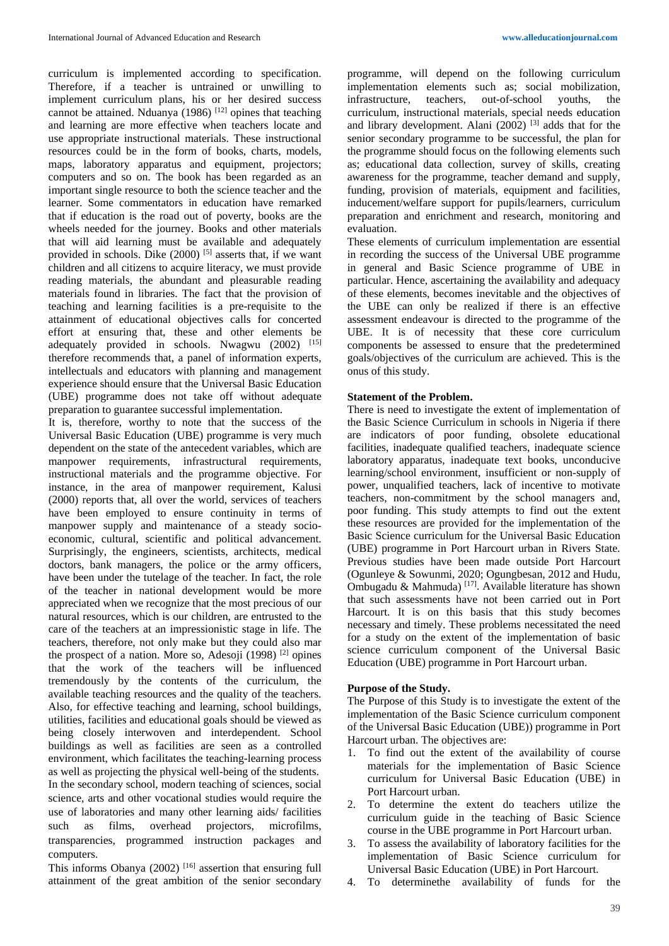curriculum is implemented according to specification. Therefore, if a teacher is untrained or unwilling to implement curriculum plans, his or her desired success cannot be attained. Nduanya (1986)  $[12]$  opines that teaching and learning are more effective when teachers locate and use appropriate instructional materials. These instructional resources could be in the form of books, charts, models, maps, laboratory apparatus and equipment, projectors; computers and so on. The book has been regarded as an important single resource to both the science teacher and the learner. Some commentators in education have remarked that if education is the road out of poverty, books are the wheels needed for the journey. Books and other materials that will aid learning must be available and adequately provided in schools. Dike  $(2000)$  <sup>[5]</sup> asserts that, if we want children and all citizens to acquire literacy, we must provide reading materials, the abundant and pleasurable reading materials found in libraries. The fact that the provision of teaching and learning facilities is a pre-requisite to the attainment of educational objectives calls for concerted effort at ensuring that, these and other elements be adequately provided in schools. Nwagwu  $(2002)$ <sup>[15]</sup> therefore recommends that, a panel of information experts, intellectuals and educators with planning and management experience should ensure that the Universal Basic Education (UBE) programme does not take off without adequate

preparation to guarantee successful implementation. It is, therefore, worthy to note that the success of the Universal Basic Education (UBE) programme is very much dependent on the state of the antecedent variables, which are manpower requirements, infrastructural requirements, instructional materials and the programme objective. For instance, in the area of manpower requirement, Kalusi (2000) reports that, all over the world, services of teachers have been employed to ensure continuity in terms of manpower supply and maintenance of a steady socioeconomic, cultural, scientific and political advancement. Surprisingly, the engineers, scientists, architects, medical doctors, bank managers, the police or the army officers, have been under the tutelage of the teacher. In fact, the role of the teacher in national development would be more appreciated when we recognize that the most precious of our natural resources, which is our children, are entrusted to the care of the teachers at an impressionistic stage in life. The teachers, therefore, not only make but they could also mar the prospect of a nation. More so, Adesoji (1998) [2] opines that the work of the teachers will be influenced tremendously by the contents of the curriculum, the available teaching resources and the quality of the teachers. Also, for effective teaching and learning, school buildings, utilities, facilities and educational goals should be viewed as being closely interwoven and interdependent. School buildings as well as facilities are seen as a controlled environment, which facilitates the teaching-learning process as well as projecting the physical well-being of the students. In the secondary school, modern teaching of sciences, social science, arts and other vocational studies would require the use of laboratories and many other learning aids/ facilities such as films, overhead projectors, microfilms, transparencies, programmed instruction packages and computers.

This informs Obanya  $(2002)$ <sup>[16]</sup> assertion that ensuring full attainment of the great ambition of the senior secondary

programme, will depend on the following curriculum implementation elements such as; social mobilization, infrastructure, teachers, out-of-school youths, the curriculum, instructional materials, special needs education and library development. Alani  $(2002)^{3}$  adds that for the senior secondary programme to be successful, the plan for the programme should focus on the following elements such as; educational data collection, survey of skills, creating awareness for the programme, teacher demand and supply, funding, provision of materials, equipment and facilities, inducement/welfare support for pupils/learners, curriculum preparation and enrichment and research, monitoring and evaluation.

These elements of curriculum implementation are essential in recording the success of the Universal UBE programme in general and Basic Science programme of UBE in particular. Hence, ascertaining the availability and adequacy of these elements, becomes inevitable and the objectives of the UBE can only be realized if there is an effective assessment endeavour is directed to the programme of the UBE. It is of necessity that these core curriculum components be assessed to ensure that the predetermined goals/objectives of the curriculum are achieved. This is the onus of this study.

# **Statement of the Problem.**

There is need to investigate the extent of implementation of the Basic Science Curriculum in schools in Nigeria if there are indicators of poor funding, obsolete educational facilities, inadequate qualified teachers, inadequate science laboratory apparatus, inadequate text books, unconducive learning/school environment, insufficient or non-supply of power, unqualified teachers, lack of incentive to motivate teachers, non-commitment by the school managers and, poor funding. This study attempts to find out the extent these resources are provided for the implementation of the Basic Science curriculum for the Universal Basic Education (UBE) programme in Port Harcourt urban in Rivers State. Previous studies have been made outside Port Harcourt (Ogunleye & Sowunmi, 2020; Ogungbesan, 2012 and Hudu, Ombugadu & Mahmuda) [17]. Available literature has shown that such assessments have not been carried out in Port Harcourt. It is on this basis that this study becomes necessary and timely. These problems necessitated the need for a study on the extent of the implementation of basic science curriculum component of the Universal Basic Education (UBE) programme in Port Harcourt urban.

#### **Purpose of the Study.**

The Purpose of this Study is to investigate the extent of the implementation of the Basic Science curriculum component of the Universal Basic Education (UBE)) programme in Port Harcourt urban. The objectives are:

- 1. To find out the extent of the availability of course materials for the implementation of Basic Science curriculum for Universal Basic Education (UBE) in Port Harcourt urban.
- 2. To determine the extent do teachers utilize the curriculum guide in the teaching of Basic Science course in the UBE programme in Port Harcourt urban.
- 3. To assess the availability of laboratory facilities for the implementation of Basic Science curriculum for Universal Basic Education (UBE) in Port Harcourt.
- 4. To determinethe availability of funds for the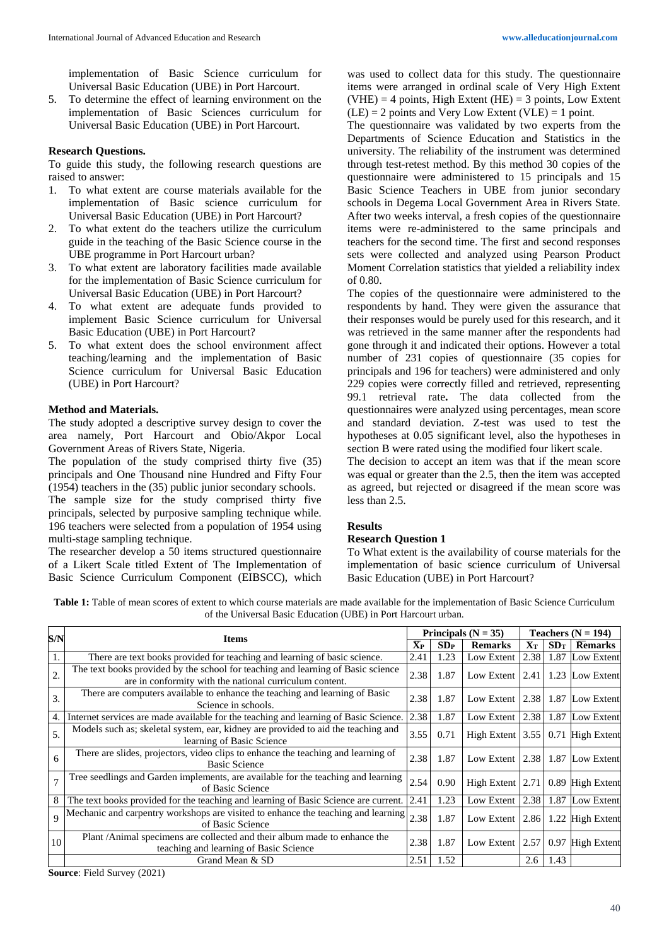implementation of Basic Science curriculum for Universal Basic Education (UBE) in Port Harcourt.

5. To determine the effect of learning environment on the implementation of Basic Sciences curriculum for Universal Basic Education (UBE) in Port Harcourt.

## **Research Questions.**

To guide this study, the following research questions are raised to answer:

- 1. To what extent are course materials available for the implementation of Basic science curriculum for Universal Basic Education (UBE) in Port Harcourt?
- 2. To what extent do the teachers utilize the curriculum guide in the teaching of the Basic Science course in the UBE programme in Port Harcourt urban?
- 3. To what extent are laboratory facilities made available for the implementation of Basic Science curriculum for Universal Basic Education (UBE) in Port Harcourt?
- 4. To what extent are adequate funds provided to implement Basic Science curriculum for Universal Basic Education (UBE) in Port Harcourt?
- 5. To what extent does the school environment affect teaching/learning and the implementation of Basic Science curriculum for Universal Basic Education (UBE) in Port Harcourt?

## **Method and Materials.**

The study adopted a descriptive survey design to cover the area namely, Port Harcourt and Obio/Akpor Local Government Areas of Rivers State, Nigeria.

The population of the study comprised thirty five (35) principals and One Thousand nine Hundred and Fifty Four (1954) teachers in the (35) public junior secondary schools. The sample size for the study comprised thirty five principals, selected by purposive sampling technique while. 196 teachers were selected from a population of 1954 using multi-stage sampling technique.

The researcher develop a 50 items structured questionnaire of a Likert Scale titled Extent of The Implementation of Basic Science Curriculum Component (EIBSCC), which was used to collect data for this study. The questionnaire items were arranged in ordinal scale of Very High Extent  $(VHE) = 4$  points, High Extent (HE) = 3 points, Low Extent  $(LE) = 2$  points and Very Low Extent  $(VLE) = 1$  point.

The questionnaire was validated by two experts from the Departments of Science Education and Statistics in the university. The reliability of the instrument was determined through test-retest method. By this method 30 copies of the questionnaire were administered to 15 principals and 15 Basic Science Teachers in UBE from junior secondary schools in Degema Local Government Area in Rivers State. After two weeks interval, a fresh copies of the questionnaire items were re-administered to the same principals and teachers for the second time. The first and second responses sets were collected and analyzed using Pearson Product Moment Correlation statistics that yielded a reliability index of 0.80.

The copies of the questionnaire were administered to the respondents by hand. They were given the assurance that their responses would be purely used for this research, and it was retrieved in the same manner after the respondents had gone through it and indicated their options. However a total number of 231 copies of questionnaire (35 copies for principals and 196 for teachers) were administered and only 229 copies were correctly filled and retrieved, representing 99.1 retrieval rate**.** The data collected from the questionnaires were analyzed using percentages, mean score and standard deviation. Z-test was used to test the hypotheses at 0.05 significant level, also the hypotheses in section B were rated using the modified four likert scale.

The decision to accept an item was that if the mean score was equal or greater than the 2.5, then the item was accepted as agreed, but rejected or disagreed if the mean score was less than 2.5.

# **Results**

#### **Research Question 1**

To What extent is the availability of course materials for the implementation of basic science curriculum of Universal Basic Education (UBE) in Port Harcourt?

**Table 1:** Table of mean scores of extent to which course materials are made available for the implementation of Basic Science Curriculum of the Universal Basic Education (UBE) in Port Harcourt urban.

| S/N           | <b>Items</b>                                                                                                                                |               | Principals ( $N = 35$ ) |                      | Teachers $(N = 194)$ |      |                    |
|---------------|---------------------------------------------------------------------------------------------------------------------------------------------|---------------|-------------------------|----------------------|----------------------|------|--------------------|
|               |                                                                                                                                             | $\bar{X}_{P}$ | SDP                     | <b>Remarks</b>       | ${\bf X}{\bf r}$     | SDT  | <b>Remarks</b>     |
|               | There are text books provided for teaching and learning of basic science.                                                                   | 2.41          | 1.23                    | Low Extent           | 2.38                 |      | 1.87 Low Extent    |
| 2.            | The text books provided by the school for teaching and learning of Basic science<br>are in conformity with the national curriculum content. | 2.38          | 1.87                    | Low Extent           | 2.41                 |      | 1.23 Low Extent    |
| 3.            | There are computers available to enhance the teaching and learning of Basic<br>Science in schools.                                          | 2.38          | 1.87                    | Low Extent           | 2.38                 |      | 1.87 Low Extent    |
| 4.            | Internet services are made available for the teaching and learning of Basic Science.                                                        | 2.38          | 1.87                    | Low Extent           | 2.38                 |      | 1.87 Low Extent    |
| 5.            | Models such as; skeletal system, ear, kidney are provided to aid the teaching and<br>learning of Basic Science                              | 3.55          | 0.71                    | High Extent $ 3.55 $ |                      | 0.71 | <b>High Extent</b> |
| 6             | There are slides, projectors, video clips to enhance the teaching and learning of<br><b>Basic Science</b>                                   | 2.38          | 1.87                    | Low Extent           | 2.38                 |      | 1.87 Low Extent    |
| $\mathcal{I}$ | Tree seedlings and Garden implements, are available for the teaching and learning<br>of Basic Science                                       | 2.54          | 0.90                    | High Extent $ 2.71$  |                      | 0.89 | <b>High Extent</b> |
| 8             | The text books provided for the teaching and learning of Basic Science are current.                                                         | 2.41          | 1.23                    | Low Extent           | 2.38                 |      | 1.87 Low Extent    |
| $\mathbf Q$   | Mechanic and carpentry workshops are visited to enhance the teaching and learning<br>of Basic Science                                       | 2.38          | 1.87                    | Low Extent           | 2.86                 | 1.22 | <b>High Extent</b> |
| 10            | Plant/Animal specimens are collected and their album made to enhance the<br>teaching and learning of Basic Science                          | 2.38          | 1.87                    | Low Extent           | 2.57                 |      | 0.97 High Extent   |
|               | Grand Mean & SD                                                                                                                             | 2.51          | 1.52                    |                      | 2.6                  | 1.43 |                    |

**Source**: Field Survey (2021)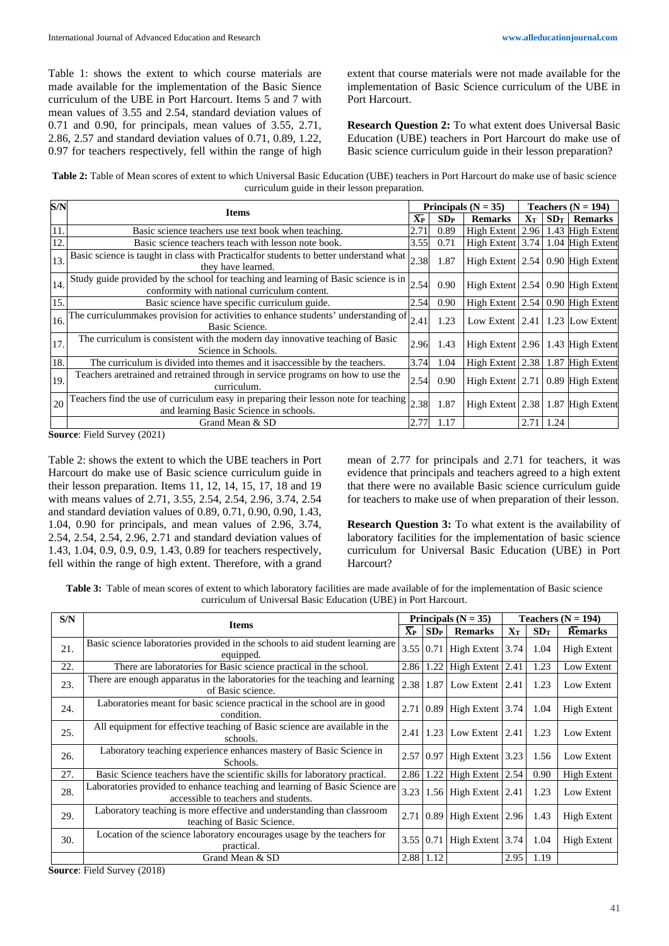Table 1: shows the extent to which course materials are made available for the implementation of the Basic Sience curriculum of the UBE in Port Harcourt. Items 5 and 7 with mean values of 3.55 and 2.54, standard deviation values of 0.71 and 0.90, for principals, mean values of 3.55, 2.71, 2.86, 2.57 and standard deviation values of 0.71, 0.89, 1.22, 0.97 for teachers respectively, fell within the range of high

extent that course materials were not made available for the implementation of Basic Science curriculum of the UBE in Port Harcourt.

**Research Question 2:** To what extent does Universal Basic Education (UBE) teachers in Port Harcourt do make use of Basic science curriculum guide in their lesson preparation?

**Table 2:** Table of Mean scores of extent to which Universal Basic Education (UBE) teachers in Port Harcourt do make use of basic science curriculum guide in their lesson preparation.

| S/N | <b>Items</b>                                                                                                                        |               | Principals ( $N = 35$ ) |                                     | Teachers $(N = 194)$ |      |                 |
|-----|-------------------------------------------------------------------------------------------------------------------------------------|---------------|-------------------------|-------------------------------------|----------------------|------|-----------------|
|     |                                                                                                                                     | $\bar{X}_{P}$ | SDP                     | <b>Remarks</b>                      | ${\bf X}{\bf r}$     | SDT  | <b>Remarks</b>  |
| 11  | Basic science teachers use text book when teaching.                                                                                 | 2.71          | 0.89                    | High Extent 2.96 1.43 High Extent   |                      |      |                 |
| 12  | Basic science teachers teach with lesson note book.                                                                                 | 3.55          | 0.71                    | High Extent $3.74$ 1.04 High Extent |                      |      |                 |
| 13. | Basic science is taught in class with Practical for students to better understand what<br>they have learned.                        | 2.38          | 1.87                    | High Extent 2.54 0.90 High Extent   |                      |      |                 |
| 14. | Study guide provided by the school for teaching and learning of Basic science is in<br>conformity with national curriculum content. | 2.54          | 0.90                    | High Extent 2.54 0.90 High Extent   |                      |      |                 |
| 15. | Basic science have specific curriculum guide.                                                                                       | 2.54          | 0.90                    | High Extent $2.54$ 0.90 High Extent |                      |      |                 |
| 16. | The curriculummakes provision for activities to enhance students' understanding of<br>Basic Science.                                | 2.41          | 1.23                    | Low Extent $ 2.41 $                 |                      |      | 1.23 Low Extent |
| 17. | The curriculum is consistent with the modern day innovative teaching of Basic<br>Science in Schools.                                | 2.96          | 1.43                    | High Extent 2.96 1.43 High Extent   |                      |      |                 |
| 18. | The curriculum is divided into themes and it is accessible by the teachers.                                                         | 3.74          | 1.04                    | High Extent 2.38 1.87 High Extent   |                      |      |                 |
| 19. | Teachers are trained and retrained through in service programs on how to use the<br>curriculum.                                     | 2.54          | 0.90                    | High Extent 2.71   0.89 High Extent |                      |      |                 |
| 20  | Teachers find the use of curriculum easy in preparing their lesson note for teaching<br>and learning Basic Science in schools.      | 2.38          | 1.87                    | High Extent 2.38 1.87 High Extent   |                      |      |                 |
|     | Grand Mean & SD                                                                                                                     | 2.77          | 1.17                    |                                     | 2.71                 | 1.24 |                 |

**Source**: Field Survey (2021)

Table 2: shows the extent to which the UBE teachers in Port Harcourt do make use of Basic science curriculum guide in their lesson preparation. Items 11, 12, 14, 15, 17, 18 and 19 with means values of 2.71, 3.55, 2.54, 2.54, 2.96, 3.74, 2.54 and standard deviation values of 0.89, 0.71, 0.90, 0.90, 1.43, 1.04, 0.90 for principals, and mean values of 2.96, 3.74, 2.54, 2.54, 2.54, 2.96, 2.71 and standard deviation values of 1.43, 1.04, 0.9, 0.9, 0.9, 1.43, 0.89 for teachers respectively, fell within the range of high extent. Therefore, with a grand mean of 2.77 for principals and 2.71 for teachers, it was evidence that principals and teachers agreed to a high extent that there were no available Basic science curriculum guide for teachers to make use of when preparation of their lesson.

**Research Question 3:** To what extent is the availability of laboratory facilities for the implementation of basic science curriculum for Universal Basic Education (UBE) in Port Harcourt?

**Table 3:** Table of mean scores of extent to which laboratory facilities are made available of for the implementation of Basic science curriculum of Universal Basic Education (UBE) in Port Harcourt.

| S/N | <b>Items</b>                                                                                                        |                        |                 |                               | Principals ( $N = 35$ ) |      |                    | Teachers $(N = 194)$ |
|-----|---------------------------------------------------------------------------------------------------------------------|------------------------|-----------------|-------------------------------|-------------------------|------|--------------------|----------------------|
|     |                                                                                                                     | $\mathbf{\bar{X}_{P}}$ | SD <sub>P</sub> | <b>Remarks</b>                | ${\bf X}{\bf r}$        | SDT  | <b>Remarks</b>     |                      |
| 21. | Basic science laboratories provided in the schools to aid student learning are<br>equipped.                         | 3.55                   | 0.71            | High Extent $3.74$            |                         | 1.04 | High Extent        |                      |
| 22. | There are laboratories for Basic science practical in the school.                                                   | 2.86                   |                 | 1.22 High Extent $2.41$       |                         | 1.23 | Low Extent         |                      |
| 23. | There are enough apparatus in the laboratories for the teaching and learning<br>of Basic science.                   | 2.38                   | 1.87            | Low Extent $\vert 2.41 \vert$ |                         | 1.23 | Low Extent         |                      |
| 24. | Laboratories meant for basic science practical in the school are in good<br>condition.                              | 2.71                   | 0.89            | High Extent 3.74              |                         | 1.04 | <b>High Extent</b> |                      |
| 25. | All equipment for effective teaching of Basic science are available in the<br>schools.                              | 2.41                   | 1.23            | Low Extent 2.41               |                         | 1.23 | Low Extent         |                      |
| 26. | Laboratory teaching experience enhances mastery of Basic Science in<br>Schools.                                     | 2.57 0.97              |                 | High Extent $3.23$            |                         | 1.56 | Low Extent         |                      |
| 27. | Basic Science teachers have the scientific skills for laboratory practical.                                         | 2.86                   | 1.22            | High Extent $2.54$            |                         | 0.90 | <b>High Extent</b> |                      |
| 28. | Laboratories provided to enhance teaching and learning of Basic Science are<br>accessible to teachers and students. | 3.23                   |                 | 1.56 High Extent 2.41         |                         | 1.23 | Low Extent         |                      |
| 29. | Laboratory teaching is more effective and understanding than classroom<br>teaching of Basic Science.                | 2.71                   | 0.89            | High Extent   2.96            |                         | 1.43 | <b>High Extent</b> |                      |
| 30. | Location of the science laboratory encourages usage by the teachers for<br>practical.                               | 3.55                   | 0.71            | High Extent 3.74              |                         | 1.04 | <b>High Extent</b> |                      |
|     | Grand Mean & SD                                                                                                     |                        | $2.88$ 1.12     |                               | 2.95                    | 1.19 |                    |                      |

**Source**: Field Survey (2018)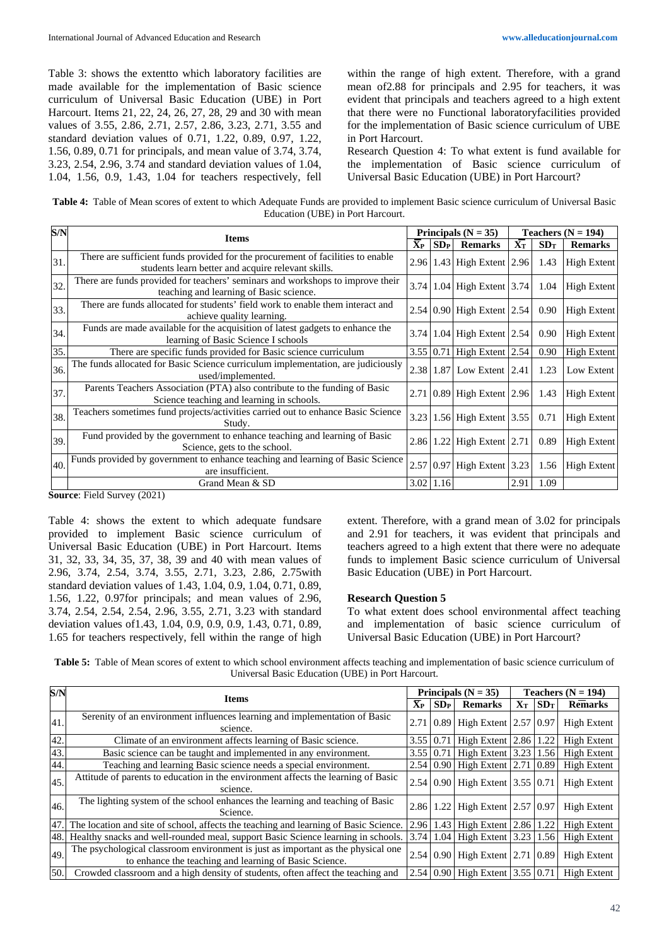Table 3: shows the extentto which laboratory facilities are made available for the implementation of Basic science curriculum of Universal Basic Education (UBE) in Port Harcourt. Items 21, 22, 24, 26, 27, 28, 29 and 30 with mean values of 3.55, 2.86, 2.71, 2.57, 2.86, 3.23, 2.71, 3.55 and standard deviation values of 0.71, 1.22, 0.89, 0.97, 1.22, 1.56, 0.89, 0.71 for principals, and mean value of 3.74, 3.74, 3.23, 2.54, 2.96, 3.74 and standard deviation values of 1.04, 1.04, 1.56, 0.9, 1.43, 1.04 for teachers respectively, fell

within the range of high extent. Therefore, with a grand mean of2.88 for principals and 2.95 for teachers, it was evident that principals and teachers agreed to a high extent that there were no Functional laboratoryfacilities provided for the implementation of Basic science curriculum of UBE in Port Harcourt.

Research Question 4: To what extent is fund available for the implementation of Basic science curriculum of Universal Basic Education (UBE) in Port Harcourt?

**Table 4:** Table of Mean scores of extent to which Adequate Funds are provided to implement Basic science curriculum of Universal Basic Education (UBE) in Port Harcourt.

| S/N |                                                                                                                                       |                           | Principals ( $N = 35$ ) |                                                   |                   |      | Teachers $(N = 194)$ |  |
|-----|---------------------------------------------------------------------------------------------------------------------------------------|---------------------------|-------------------------|---------------------------------------------------|-------------------|------|----------------------|--|
|     | <b>Items</b>                                                                                                                          | $\mathbf{X}_{\mathbf{P}}$ | SDP                     | <b>Remarks</b>                                    | ${\bf X}_{\rm T}$ | SDT  | <b>Remarks</b>       |  |
| 31. | There are sufficient funds provided for the procurement of facilities to enable<br>students learn better and acquire relevant skills. |                           |                         | 2.96 1.43 High Extent 2.96                        |                   | 1.43 | <b>High Extent</b>   |  |
| 32. | There are funds provided for teachers' seminars and workshops to improve their<br>teaching and learning of Basic science.             | 3.74                      |                         | 1.04 High Extent 3.74                             |                   | 1.04 | High Extent          |  |
| 33. | There are funds allocated for students' field work to enable them interact and<br>achieve quality learning.                           |                           |                         | 2.54 0.90 High Extent 2.54                        |                   | 0.90 | <b>High Extent</b>   |  |
| 34. | Funds are made available for the acquisition of latest gadgets to enhance the<br>learning of Basic Science I schools                  | 3.74                      |                         | 1.04 High Extent 2.54                             |                   | 0.90 | High Extent          |  |
| 35. | There are specific funds provided for Basic science curriculum                                                                        |                           | $3.55 \mid 0.71$        | High Extent 2.54                                  |                   | 0.90 | <b>High Extent</b>   |  |
| 36. | The funds allocated for Basic Science curriculum implementation, are judiciously<br>used/implemented.                                 |                           | 2.38 1.87               | Low Extent $2.41$                                 |                   | 1.23 | Low Extent           |  |
| 37. | Parents Teachers Association (PTA) also contribute to the funding of Basic<br>Science teaching and learning in schools.               | 2.71                      |                         | $\vert 0.89 \vert$ High Extent $\vert 2.96 \vert$ |                   | 1.43 | <b>High Extent</b>   |  |
| 38. | Teachers sometimes fund projects/activities carried out to enhance Basic Science<br>Study.                                            | 3.23                      |                         | 1.56 High Extent 3.55                             |                   | 0.71 | <b>High Extent</b>   |  |
| 39. | Fund provided by the government to enhance teaching and learning of Basic<br>Science, gets to the school.                             | 2.86                      |                         | 1.22 High Extent $2.71$                           |                   | 0.89 | <b>High Extent</b>   |  |
| 40. | Funds provided by government to enhance teaching and learning of Basic Science<br>are insufficient.                                   |                           | 2.57 0.97               | High Extent $3.23$                                |                   | 1.56 | <b>High Extent</b>   |  |
|     | Grand Mean & SD                                                                                                                       |                           | $3.02$ 1.16             |                                                   | 2.91              | 1.09 |                      |  |

**Source**: Field Survey (2021)

Table 4: shows the extent to which adequate fundsare provided to implement Basic science curriculum of Universal Basic Education (UBE) in Port Harcourt. Items 31, 32, 33, 34, 35, 37, 38, 39 and 40 with mean values of 2.96, 3.74, 2.54, 3.74, 3.55, 2.71, 3.23, 2.86, 2.75with standard deviation values of 1.43, 1.04, 0.9, 1.04, 0.71, 0.89, 1.56, 1.22, 0.97for principals; and mean values of 2.96, 3.74, 2.54, 2.54, 2.54, 2.96, 3.55, 2.71, 3.23 with standard deviation values of1.43, 1.04, 0.9, 0.9, 0.9, 1.43, 0.71, 0.89, 1.65 for teachers respectively, fell within the range of high

extent. Therefore, with a grand mean of 3.02 for principals and 2.91 for teachers, it was evident that principals and teachers agreed to a high extent that there were no adequate funds to implement Basic science curriculum of Universal Basic Education (UBE) in Port Harcourt.

#### **Research Question 5**

To what extent does school environmental affect teaching and implementation of basic science curriculum of Universal Basic Education (UBE) in Port Harcourt?

**Table 5:** Table of Mean scores of extent to which school environment affects teaching and implementation of basic science curriculum of Universal Basic Education (UBE) in Port Harcourt.

| S/N | Principals ( $N = 35$ )<br><b>Items</b>                                                                                                    |                  |                  |                                           | Teachers $(N = 194)$ |                 |                    |
|-----|--------------------------------------------------------------------------------------------------------------------------------------------|------------------|------------------|-------------------------------------------|----------------------|-----------------|--------------------|
|     |                                                                                                                                            | $\bar{X}_{P}$    | SD <sub>P</sub>  | <b>Remarks</b>                            | ${\bf X}_{\bf T}$    | SD <sub>T</sub> | <b>Remarks</b>     |
| 41. | Serenity of an environment influences learning and implementation of Basic<br>science.                                                     |                  |                  | 2.71 0.89 High Extent 2.57 0.97           |                      |                 | <b>High Extent</b> |
| 42. | Climate of an environment affects learning of Basic science.                                                                               | $3.55 \mid 0.71$ |                  | High Extent $\vert 2.86 \vert 1.22 \vert$ |                      |                 | <b>High Extent</b> |
| 43. | Basic science can be taught and implemented in any environment.                                                                            |                  | $3.55 \mid 0.71$ | High Extent 3.23 1.56                     |                      |                 | <b>High Extent</b> |
| 44. | Teaching and learning Basic science needs a special environment.                                                                           |                  |                  | 2.54 0.90 High Extent 2.71 0.89           |                      |                 | <b>High Extent</b> |
| 45. | Attitude of parents to education in the environment affects the learning of Basic<br>science.                                              |                  |                  | 2.54 0.90 High Extent 3.55 0.71           |                      |                 | High Extent        |
| 46. | The lighting system of the school enhances the learning and teaching of Basic<br>Science.                                                  |                  |                  | 2.86 1.22 High Extent 2.57 0.97           |                      |                 | <b>High Extent</b> |
| 47. | The location and site of school, affects the teaching and learning of Basic Science.                                                       |                  | 2.96 1.43        | High Extent $\vert 2.86 \vert 1.22 \vert$ |                      |                 | High Extent        |
| 48. | Healthy snacks and well-rounded meal, support Basic Science learning in schools.                                                           | 3.74             | 1.04             | High Extent 3.23   1.56                   |                      |                 | <b>High Extent</b> |
| 49. | The psychological classroom environment is just as important as the physical one<br>to enhance the teaching and learning of Basic Science. |                  |                  | 2.54 0.90 High Extent 2.71 0.89           |                      |                 | High Extent        |
| 50. | Crowded classroom and a high density of students, often affect the teaching and                                                            |                  |                  | 2.54 0.90 High Extent 3.55 0.71           |                      |                 | <b>High Extent</b> |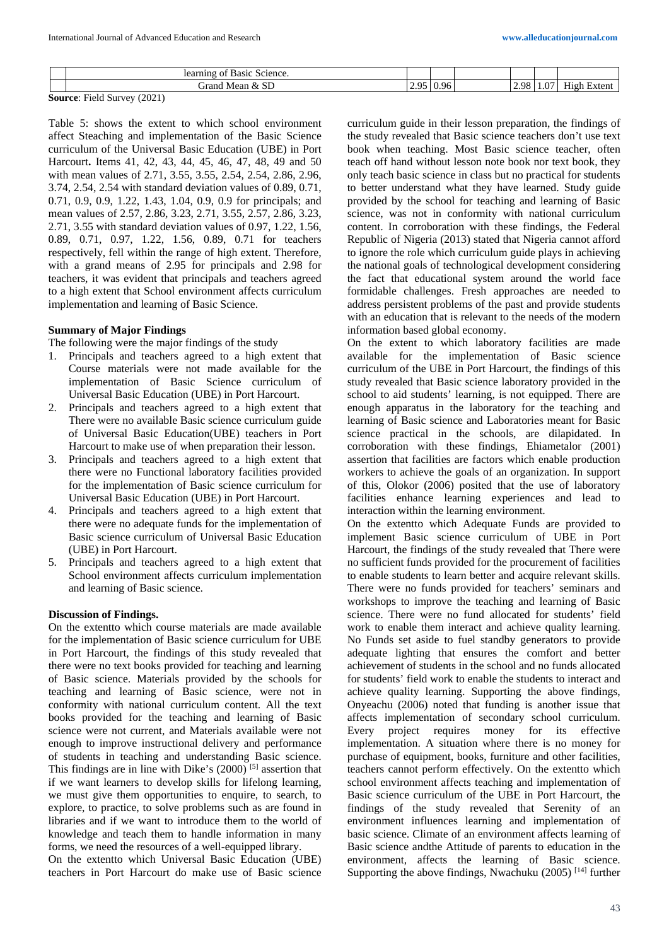|    | Basic<br>Science<br>ω<br>mng<br>геа  |               |                 |      |             |                     |
|----|--------------------------------------|---------------|-----------------|------|-------------|---------------------|
|    | $\sim$ $\sim$<br>iranc<br>Mear<br>ັບ | $\sim$ $\sim$ | - 16<br>$\cdot$ | 2.98 | $\sim$<br>. | T<br>ent<br>-ii ark |
| -- | _______<br>.                         |               |                 |      |             |                     |

**Source**: Field Survey (2021)

Table 5: shows the extent to which school environment affect Steaching and implementation of the Basic Science curriculum of the Universal Basic Education (UBE) in Port Harcourt**.** Items 41, 42, 43, 44, 45, 46, 47, 48, 49 and 50 with mean values of 2.71, 3.55, 3.55, 2.54, 2.54, 2.86, 2.96, 3.74, 2.54, 2.54 with standard deviation values of 0.89, 0.71, 0.71, 0.9, 0.9, 1.22, 1.43, 1.04, 0.9, 0.9 for principals; and mean values of 2.57, 2.86, 3.23, 2.71, 3.55, 2.57, 2.86, 3.23, 2.71, 3.55 with standard deviation values of 0.97, 1.22, 1.56, 0.89, 0.71, 0.97, 1.22, 1.56, 0.89, 0.71 for teachers respectively, fell within the range of high extent. Therefore, with a grand means of 2.95 for principals and 2.98 for teachers, it was evident that principals and teachers agreed to a high extent that School environment affects curriculum implementation and learning of Basic Science.

## **Summary of Major Findings**

The following were the major findings of the study

- 1. Principals and teachers agreed to a high extent that Course materials were not made available for the implementation of Basic Science curriculum of Universal Basic Education (UBE) in Port Harcourt.
- 2. Principals and teachers agreed to a high extent that There were no available Basic science curriculum guide of Universal Basic Education(UBE) teachers in Port Harcourt to make use of when preparation their lesson.
- 3. Principals and teachers agreed to a high extent that there were no Functional laboratory facilities provided for the implementation of Basic science curriculum for Universal Basic Education (UBE) in Port Harcourt.
- 4. Principals and teachers agreed to a high extent that there were no adequate funds for the implementation of Basic science curriculum of Universal Basic Education (UBE) in Port Harcourt.
- 5. Principals and teachers agreed to a high extent that School environment affects curriculum implementation and learning of Basic science.

# **Discussion of Findings.**

On the extentto which course materials are made available for the implementation of Basic science curriculum for UBE in Port Harcourt, the findings of this study revealed that there were no text books provided for teaching and learning of Basic science. Materials provided by the schools for teaching and learning of Basic science, were not in conformity with national curriculum content. All the text books provided for the teaching and learning of Basic science were not current, and Materials available were not enough to improve instructional delivery and performance of students in teaching and understanding Basic science. This findings are in line with Dike's  $(2000)$ <sup>[5]</sup> assertion that if we want learners to develop skills for lifelong learning, we must give them opportunities to enquire, to search, to explore, to practice, to solve problems such as are found in libraries and if we want to introduce them to the world of knowledge and teach them to handle information in many forms, we need the resources of a well-equipped library.

On the extentto which Universal Basic Education (UBE) teachers in Port Harcourt do make use of Basic science curriculum guide in their lesson preparation, the findings of the study revealed that Basic science teachers don't use text book when teaching. Most Basic science teacher, often teach off hand without lesson note book nor text book, they only teach basic science in class but no practical for students to better understand what they have learned. Study guide provided by the school for teaching and learning of Basic science, was not in conformity with national curriculum content. In corroboration with these findings, the Federal Republic of Nigeria (2013) stated that Nigeria cannot afford to ignore the role which curriculum guide plays in achieving the national goals of technological development considering the fact that educational system around the world face formidable challenges. Fresh approaches are needed to address persistent problems of the past and provide students with an education that is relevant to the needs of the modern information based global economy.

On the extent to which laboratory facilities are made available for the implementation of Basic science curriculum of the UBE in Port Harcourt, the findings of this study revealed that Basic science laboratory provided in the school to aid students' learning, is not equipped. There are enough apparatus in the laboratory for the teaching and learning of Basic science and Laboratories meant for Basic science practical in the schools, are dilapidated. In corroboration with these findings, Ehiametalor (2001) assertion that facilities are factors which enable production workers to achieve the goals of an organization. In support of this, Olokor (2006) posited that the use of laboratory facilities enhance learning experiences and lead to interaction within the learning environment.

On the extentto which Adequate Funds are provided to implement Basic science curriculum of UBE in Port Harcourt, the findings of the study revealed that There were no sufficient funds provided for the procurement of facilities to enable students to learn better and acquire relevant skills. There were no funds provided for teachers' seminars and workshops to improve the teaching and learning of Basic science. There were no fund allocated for students' field work to enable them interact and achieve quality learning. No Funds set aside to fuel standby generators to provide adequate lighting that ensures the comfort and better achievement of students in the school and no funds allocated for students' field work to enable the students to interact and achieve quality learning. Supporting the above findings, Onyeachu (2006) noted that funding is another issue that affects implementation of secondary school curriculum. Every project requires money for its effective implementation. A situation where there is no money for purchase of equipment, books, furniture and other facilities, teachers cannot perform effectively. On the extentto which school environment affects teaching and implementation of Basic science curriculum of the UBE in Port Harcourt, the findings of the study revealed that Serenity of an environment influences learning and implementation of basic science. Climate of an environment affects learning of Basic science andthe Attitude of parents to education in the environment, affects the learning of Basic science. Supporting the above findings, Nwachuku (2005)<sup>[14]</sup> further